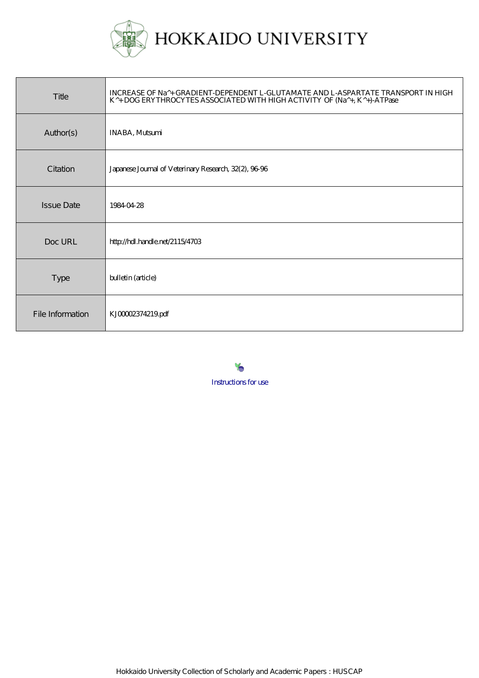

| Title             | INCREASE OF Na^+ GRADIENT-DEPENDENT L-GLUTAMATE AND L-ASPARTATE TRANSPORT IN HIGH<br>K <sup>A</sup> + DOG ERYTHROCYTES ASSOCIATED WITH HIGH ACTIVITY OF (Na <sup>A</sup> +, K <sup>A</sup> +)-ATPase |
|-------------------|------------------------------------------------------------------------------------------------------------------------------------------------------------------------------------------------------|
| Author(s)         | <b>INABA, Mutsumi</b>                                                                                                                                                                                |
| Citation          | Japanese Journal of Veterinary Research, 32(2), 9696                                                                                                                                                 |
| <b>Issue Date</b> | 19840428                                                                                                                                                                                             |
| Doc URL           | http://hdl.handle.net/2115/4703                                                                                                                                                                      |
| <b>Type</b>       | bulletin (article)                                                                                                                                                                                   |
| File Information  | KJ00002374219.pdf                                                                                                                                                                                    |